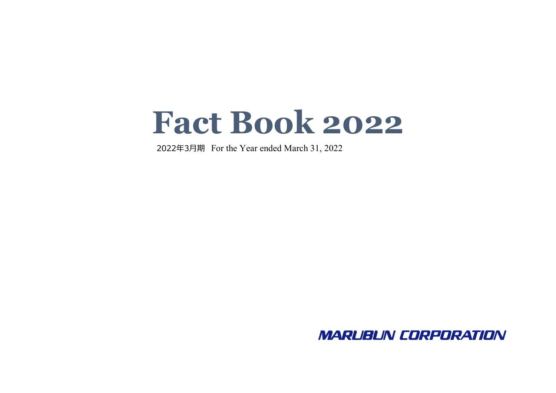# **Fact Book 2022**

2022年3⽉期 For the Year ended March 31, 2022

**MARLIBLIN CORPORATION**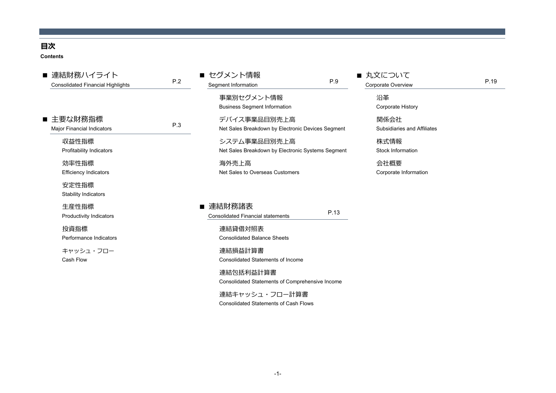## **⽬次**

**Contents**

| ■ 連結財務ハイライト<br><b>Consolidated Financial Highlights</b> | P.2 | ■ セグメント情報<br>Segment Information                                  | P.9  | ■ 丸文について<br>Corporate Overview      | P.19 |
|---------------------------------------------------------|-----|-------------------------------------------------------------------|------|-------------------------------------|------|
|                                                         |     | 事業別セグメント情報<br><b>Business Segment Information</b>                 |      | 沿革<br>Corporate History             |      |
| ■ 主要な財務指標<br><b>Major Financial Indicators</b>          | P.3 | デバイス事業品目別売上高<br>Net Sales Breakdown by Electronic Devices Segment |      | 関係会社<br>Subsidiaries and Affiliates |      |
| 収益性指標<br><b>Profitability Indicators</b>                |     | システム事業品目別売上高<br>Net Sales Breakdown by Electronic Systems Segment |      | 株式情報<br>Stock Information           |      |
| 効率性指標<br><b>Efficiency Indicators</b>                   |     | 海外売上高<br>Net Sales to Overseas Customers                          |      | 会社概要<br>Corporate Information       |      |
| 安定性指標<br><b>Stability Indicators</b>                    |     |                                                                   |      |                                     |      |
| 生産性指標<br><b>Productivity Indicators</b>                 |     | ■ 連結財務諸表<br><b>Consolidated Financial statements</b>              | P.13 |                                     |      |
| 投資指標<br>Performance Indicators                          |     | 連結貸借対照表<br><b>Consolidated Balance Sheets</b>                     |      |                                     |      |
| キャッシュ・フロー<br>Cash Flow                                  |     | 連結損益計算書<br><b>Consolidated Statements of Income</b>               |      |                                     |      |
|                                                         |     | 連結包括利益計算書<br>Consolidated Statements of Comprehensive Income      |      |                                     |      |
|                                                         |     | 連結キャッシュ・フロー計算書<br><b>Consolidated Statements of Cash Flows</b>    |      |                                     |      |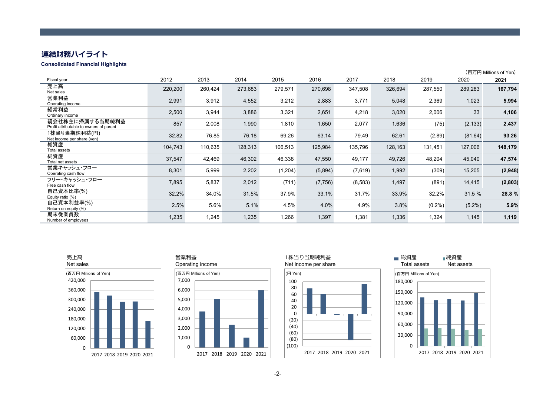# **連結財務ハイライト**

#### **Consolidated Financial Highlights**

|                                                            |         |         |         |          |          |         |         |           |           | (百万円 Millions of Yen) |
|------------------------------------------------------------|---------|---------|---------|----------|----------|---------|---------|-----------|-----------|-----------------------|
| Fiscal year                                                | 2012    | 2013    | 2014    | 2015     | 2016     | 2017    | 2018    | 2019      | 2020      | 2021                  |
| 売上高<br>Net sales                                           | 220,200 | 260,424 | 273,683 | 279,571  | 270,698  | 347,508 | 326,694 | 287,550   | 289,283   | 167,794               |
| 営業利益<br>Operating income                                   | 2,991   | 3,912   | 4,552   | 3,212    | 2,883    | 3,771   | 5,048   | 2,369     | 1,023     | 5,994                 |
| 経常利益<br>Ordinary income                                    | 2,500   | 3,944   | 3,886   | 3,321    | 2,651    | 4,218   | 3,020   | 2,006     | 33        | 4,106                 |
| 親会社株主に帰属する当期純利益<br>Profit attributable to owners of parent | 857     | 2,008   | 1,990   | 1,810    | 1,650    | 2,077   | 1,636   | (75)      | (2, 133)  | 2,437                 |
| 1株当り当期純利益(円)<br>Net income per share (yen)                 | 32.82   | 76.85   | 76.18   | 69.26    | 63.14    | 79.49   | 62.61   | (2.89)    | (81.64)   | 93.26                 |
| 総資産<br><b>Total assets</b>                                 | 104,743 | 110,635 | 128,313 | 106,513  | 125,984  | 135,796 | 128,163 | 131,451   | 127,006   | 148,179               |
| 純資産<br>Total net assets                                    | 37,547  | 42,469  | 46,302  | 46,338   | 47,550   | 49,177  | 49,726  | 48,204    | 45,040    | 47,574                |
| 営業キャッシュ・フロー<br>Operating cash flow                         | 8,301   | 5,999   | 2,202   | (1, 204) | (5,894)  | (7,619) | 1,992   | (309)     | 15,205    | (2,948)               |
| フリー・キャッシュ・フロー<br>Free cash flow                            | 7,895   | 5,837   | 2,012   | (711)    | (7, 756) | (8,583) | 1,497   | (891)     | 14,415    | (2,803)               |
| 自己資本比率(%)<br>Equity ratio (%)                              | 32.2%   | 34.0%   | 31.5%   | 37.9%    | 33.1%    | 31.7%   | 33.9%   | 32.2%     | 31.5 %    | 28.8 %                |
| 自己資本利益率(%)<br>Return on equity (%)                         | 2.5%    | 5.6%    | 5.1%    | 4.5%     | 4.0%     | 4.9%    | 3.8%    | $(0.2\%)$ | $(5.2\%)$ | 5.9%                  |
| 期末従業員数<br>Number of employees                              | 1,235   | 1,245   | 1,235   | 1,266    | 1,397    | 1,381   | 1,336   | 1,324     | 1,145     | 1,119                 |



## 営業利益





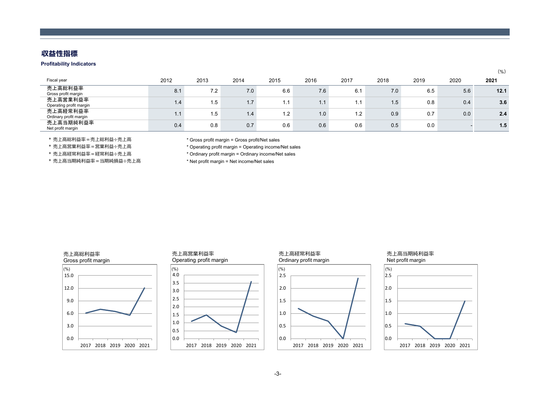## **収益性指標**

#### **Profitability Indicators**

| Fiscal year                         | 2012             | 2013 | 2014 | 2015                                   | 2016 | 2017 | 2018 | 2019 | 2020 | 2021 |
|-------------------------------------|------------------|------|------|----------------------------------------|------|------|------|------|------|------|
| 売上高総利益率<br>Gross profit margin      | 8.1              | 7.2  | 7.0  | 6.6                                    | 7.6  | 6.1  | 7.0  | 6.5  | 5.6  | 12.1 |
| 売上高営業利益率<br>Operating profit margin | $\overline{1.4}$ | 1.5  | 1.7  | $\overline{4}$ $\overline{4}$<br>I . I | 1.1  | 1.1  | 1.5  | 0.8  | 0.4  | 3.6  |
| 売上高経常利益率<br>Ordinary profit margin  |                  | 1.5  | 1.4  | 1.2                                    | 1.0  | 1.2  | 0.9  | 0.7  | 0.0  | 2.4  |
| 売上高当期純利益率<br>Net profit margin      | 0.4              | 0.8  | 0.7  | 0.6                                    | 0.6  | 0.6  | 0.5  | 0.0  |      | 1.5  |

(%)

\* 売上高総利益率 = 売上総利益÷売上高

\* 売上高営業利益=営業利益÷売上高

\* 売上高経常利益= 経常利益÷売上高

\* 売上高当期純利益率 = 当期純損益÷売上高

\* Gross profit margin = Gross profit/Net sales

\* Operating profit margin = Operating income/Net sales

\* Ordinary profit margin = Ordinary income/Net sales

\* Net profit margin = Net income/Net sales

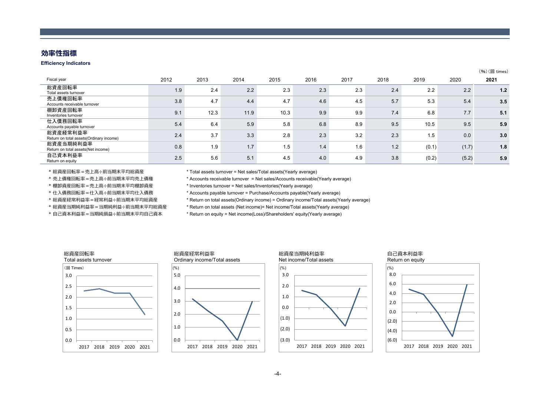## **効率性指標**

#### **Efficiency Indicators**

| Fiscal year                                         | 2012 | 2013 | 2014 | 2015 | 2016 | 2017 | 2018 | 2019  | 2020  | 2021 |
|-----------------------------------------------------|------|------|------|------|------|------|------|-------|-------|------|
| 総資産回転率<br>Total assets turnover                     | 1.9  | 2.4  | 2.2  | 2.3  | 2.3  | 2.3  | 2.4  | 2.2   | 2.2   | 1.2  |
| 売上債権回転率<br>Accounts receivable turnover             | 3.8  | 4.7  | 4.4  | 4.7  | 4.6  | 4.5  | 5.7  | 5.3   | 5.4   | 3.5  |
| 棚卸資産回転率<br>Inventories turnover                     | 9.1  | 12.3 | 11.9 | 10.3 | 9.9  | 9.9  | 7.4  | 6.8   | 7.7   | 5.1  |
| 仕入債務回転率<br>Accounts payable turnover                | 5.4  | 6.4  | 5.9  | 5.8  | 6.8  | 8.9  | 9.5  | 10.5  | 9.5   | 5.9  |
| 総資産経常利益率<br>Return on total assets(Ordinary income) | 2.4  | 3.7  | 3.3  | 2.8  | 2.3  | 3.2  | 2.3  | 1.5   | 0.0   | 3.0  |
| 総資産当期純利益率<br>Return on total assets (Net income)    | 0.8  | 1.9  | 1.7  | 1.5  | 1.4  | 1.6  | 1.2  | (0.1) | (1.7) | 1.8  |
| 自己資本利益率<br>Return on equity                         | 2.5  | 5.6  | 5.1  | 4.5  | 4.0  | 4.9  | 3.8  | (0.2) | (5.2) | 5.9  |

\* 総資産回転率=売上⾼÷前当期末平均総資産

\* 売上債権回転率=売上⾼÷前当期末平均売上債権

\* 棚卸資産回転率=売上⾼÷前当期末平均棚卸資産

\* 仕入債務回転率 = 仕入高÷前当期末平均仕入債務

\* 総資産経常利益率=経常利益÷前当期末平均総資産

\* 総資産当期純利益率=当期純利益÷前当期末平均総資産

\* 自己資本利益率 = 当期純損益÷前当期末平均自己資本

\* Total assets turnover = Net sales/Total assets(Yearly average)

\* Accounts receivable turnover = Net sales/Accounts receivable(Yearly average)

\* Inventories turnover = Net sales/Inventories(Yearly average)

\* Accounts payable turnover = Purchase/Accounts payable(Yearly average)

\* Return on total assets(Ordinary income) = Ordinary income/Total assets(Yearly average)

\* Return on total assets (Net income)= Net income/Total assets(Yearly average)

\* Return on equity = Net income(Loss)/Shareholders' equity(Yearly average)











 $(96)(\Box$  times)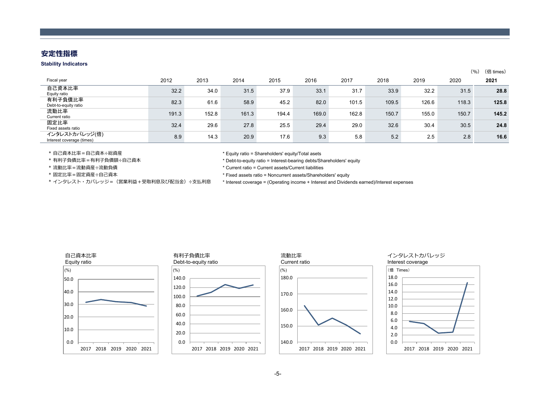## **安定性指標**

#### **Stability Indicators**

|                                             |       |       |       |       |       |       |       |       |       | (倍 times)<br>(9/6) |
|---------------------------------------------|-------|-------|-------|-------|-------|-------|-------|-------|-------|--------------------|
| Fiscal year                                 | 2012  | 2013  | 2014  | 2015  | 2016  | 2017  | 2018  | 2019  | 2020  | 2021               |
| 自己資本比率<br>Equity ratio                      | 32.2  | 34.0  | 31.5  | 37.9  | 33.1  | 31.7  | 33.9  | 32.2  | 31.5  | 28.8               |
| 有利子負債比率<br>Debt-to-equity ratio             | 82.3  | 61.6  | 58.9  | 45.2  | 82.0  | 101.5 | 109.5 | 126.6 | 118.3 | 125.8              |
| 流動比率<br>Current ratio                       | 191.3 | 152.8 | 161.3 | 194.4 | 169.0 | 162.8 | 150.7 | 155.0 | 150.7 | 145.2              |
| 固定比率<br>Fixed assets ratio                  | 32.4  | 29.6  | 27.8  | 25.5  | 29.4  | 29.0  | 32.6  | 30.4  | 30.5  | 24.8               |
| インタレストカバレッジ(倍)<br>Interest coverage (times) | 8.9   | 14.3  | 20.9  | 17.6  | 9.3   | 5.8   | 5.2   | 2.5   | 2.8   | 16.6               |

\* 自己資本比率=自己資本÷総資産

\* 有利子負債記÷自己資本

\* 流動⽐率=流動資産÷流動負債

\* 固定⽐率=固定資産÷⾃⼰資本

\* Equity ratio = Shareholders' equity/Total asets

\* Debt-to-equity ratio = Interest-bearing debts/Shareholders' equity

\* Current ratio = Current assets/Current liabilities

\* Fixed assets ratio = Noncurrent assets/Shareholders' equity

\* インタレスト・カバレッジ=(営業利益+受取利息及び配当金)÷支払利息 \* Interest coverage = (Operating income + Interest and Dividends earned)/Interest expenses

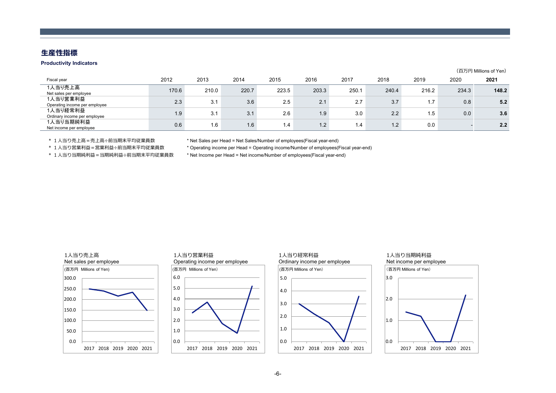## **⽣産性指標**

#### **Productivity Indicators**

| (百万円 Millions of Yen) |  |
|-----------------------|--|
|                       |  |

| Fiscal year                               | 2012  | 2013  | 2014  | 2015  | 2016  | 2017             | 2018                  | 2019  | 2020  | 2021  |
|-------------------------------------------|-------|-------|-------|-------|-------|------------------|-----------------------|-------|-------|-------|
| 1人当り売上高<br>Net sales per employee         | 170.6 | 210.0 | 220.7 | 223.5 | 203.3 | 250.1            | 240.4                 | 216.2 | 234.3 | 148.2 |
| 1人当り営業利益<br>Operating income per employee | 2.3   | 3.1   | 3.6   | 2.5   | 2.1   | 2.7              | 3.7                   | 1.7   | 0.8   | 5.2   |
| 1人当り経常利益<br>Ordinary income per employee  | 1.9   | 3.1   | 3.1   | 2.6   | 1.9   | 3.0              | 2.2                   | 1.5   | 0.0   | 3.6   |
| 1人当り当期純利益<br>Net income per employee      | 0.6   | 1.6   | 1.6   | 1.4   | 1.2   | $\overline{1.4}$ | $\mathcal{D}$<br>$-2$ | 0.0   |       | 2.2   |

\* 1⼈当り売上⾼=売上⾼÷前当期末平均従業員数 \* Net Sales per Head = Net Sales/Number of employees(Fiscal year-end)

\* 1⼈当り営業利益=営業利益÷前当期末平均従業員数 \* Operating income per Head = Operating income/Number of employees(Fiscal year-end)

\* 1⼈当り当期純利益=当期純利益÷前当期末平均従業員数 \* Net Income per Head = Net income/Number of employees(Fiscal year-end)

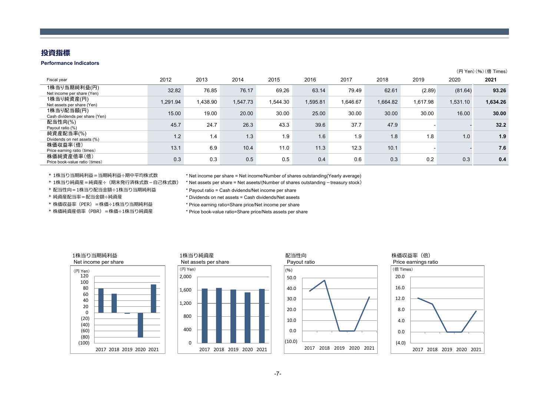## **投資指標**

#### **Performance Indicators**

|                                              |          |          |          |          |          |          |          |          |          | (円 Yen) (%) (倍 Times) |
|----------------------------------------------|----------|----------|----------|----------|----------|----------|----------|----------|----------|-----------------------|
| Fiscal year                                  | 2012     | 2013     | 2014     | 2015     | 2016     | 2017     | 2018     | 2019     | 2020     | 2021                  |
| 1株当り当期純利益(円)<br>Net income per share (Yen)   | 32.82    | 76.85    | 76.17    | 69.26    | 63.14    | 79.49    | 62.61    | (2.89)   | (81.64)  | 93.26                 |
| 1株当り純資産(円)<br>Net assets per share (Yen)     | 1.291.94 | 1,438.90 | 1.547.73 | 1.544.30 | 1.595.81 | 1,646.67 | 1,664.82 | 1,617.98 | 1,531.10 | 1,634.26              |
| 1株当り配当額(円)<br>Cash dividends per share (Yen) | 15.00    | 19.00    | 20.00    | 30.00    | 25.00    | 30.00    | 30.00    | 30.00    | 16.00    | 30.00                 |
| 配当性向(%)<br>Payout ratio (%)                  | 45.7     | 24.7     | 26.3     | 43.3     | 39.6     | 37.7     | 47.9     |          |          | 32.2                  |
| 純資産配当率(%)<br>Dividends on net assets (%)     | 1.2      | 1.4      | 1.3      | 1.9      | 1.6      | 1.9      | 1.8      | 1.8      | 1.0      | 1.9                   |
| 株価収益率(倍)<br>Price earning ratio (times)      | 13.1     | 6.9      | 10.4     | 11.0     | 11.3     | 12.3     | 10.1     |          |          | 7.6                   |
| 株価純資産倍率(倍)<br>Price book-value ratio (times) | 0.3      | 0.3      | 0.5      | 0.5      | 0.4      | 0.6      | 0.3      | 0.2      | 0.3      | 0.4                   |

\* 1株当り当期純利益=当期純利益÷期中平均株式数

\* 配当性向=1株当り配当⾦額÷1株当り当期純利益

\* 純資産配当率=配当⾦額÷純資産

\* 株価収益率(PER)=株価÷1株当り当期純利益 \* Price earning ratio=Share price/Net income per share

\* Net income per share = Net income/Number of shares outstanding(Yearly average)

\* 1株当り純資産=純資産÷(期末発⾏済株式数-⾃⼰株式数) \* Net assets per share = Net aseets/(Number of shares outstanding-treasury stock)

\* Payout ratio = Cash dvidends/Net income per share

\* Dividends on net assets = Cash dividends/Net aseets

\* 株価純資産倍率(PBR)=株価÷1株当り純資産 \* Price book-value ratio=Share price/Nets assets per share

## 1株当り当期純利益



#### 1株当り純資産







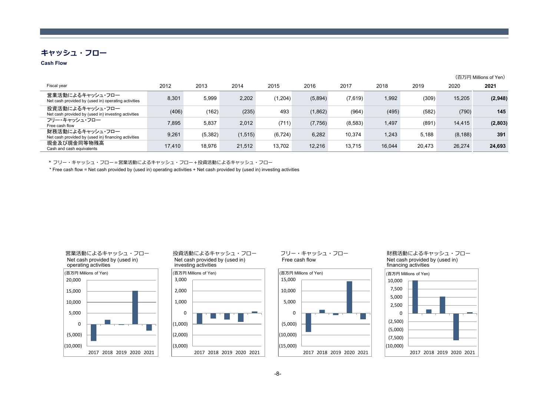## **キャッシュ・フロー**

#### **Cash Flow**

|                                                                         |        |         |          |          |          |         |        |        |          | (百万円 Millions of Yen) |
|-------------------------------------------------------------------------|--------|---------|----------|----------|----------|---------|--------|--------|----------|-----------------------|
| Fiscal year                                                             | 2012   | 2013    | 2014     | 2015     | 2016     | 2017    | 2018   | 2019   | 2020     | 2021                  |
| 営業活動によるキャッシュ・フロー<br>Net cash provided by (used in) operating activities | 8,301  | 5.999   | 2,202    | (1,204)  | (5,894)  | (7,619) | 1,992  | (309)  | 15,205   | (2,948)               |
| 投資活動によるキャッシュ・フロー<br>Net cash provided by (used in) investing activities | (406)  | (162)   | (235)    | 493      | (1,862)  | (964)   | (495)  | (582)  | (790)    | 145                   |
| フリー・キャッシュ・フロー<br>Free cash flow                                         | 7,895  | 5,837   | 2,012    | (711)    | (7, 756) | (8,583) | 1,497  | (891)  | 14,415   | (2,803)               |
| 財務活動によるキャッシュ・フロー<br>Net cash provided by (used in) financing activities | 9,261  | (5,382) | (1, 515) | (6, 724) | 6,282    | 10.374  | 1,243  | 5.188  | (8, 188) | 391                   |
| 現金及び現金同等物残高<br>Cash and cash equivalents                                | 17,410 | 18.976  | 21,512   | 13.702   | 12,216   | 13,715  | 16.044 | 20.473 | 26,274   | 24,693                |

\* フリー・キャッシュ・フロー=営業活動によるキャッシュ・フロー+投資活動によるキャッシュ・フロー

\* Free cash flow = Net cash provided by (used in) operating activities + Net cash provided by (used in) investing activities





投資活動によるキャッシュ・フローNet cash provided by (used in)



フリー・キャッシュ・フローFree cash flow



財務活動によるキャッシュ・フローNet cash provided by (used in) financing activities

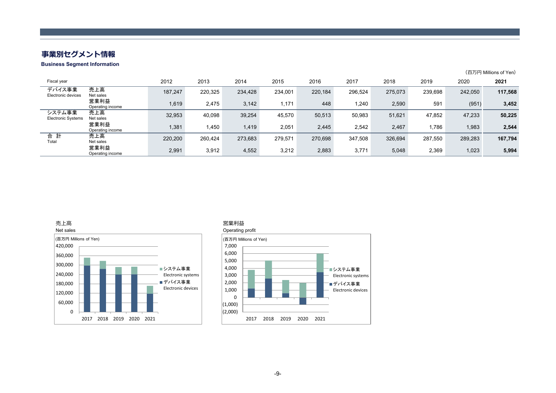# **事業別セグメント情報**

**Business Segment Information**

|                                     |                          |         |         |         |         |         |         |         |         |         | (百万円 Millions of Yen) |
|-------------------------------------|--------------------------|---------|---------|---------|---------|---------|---------|---------|---------|---------|-----------------------|
| Fiscal year                         |                          | 2012    | 2013    | 2014    | 2015    | 2016    | 2017    | 2018    | 2019    | 2020    | 2021                  |
| デバイス事業<br>Electronic devices        | 売上高<br>Net sales         | 187.247 | 220,325 | 234,428 | 234,001 | 220,184 | 296,524 | 275,073 | 239,698 | 242,050 | 117,568               |
|                                     | 営業利益<br>Operating income | 1,619   | 2,475   | 3,142   | 1,171   | 448     | 1,240   | 2,590   | 591     | (951)   | 3,452                 |
| システム事業<br><b>Electronic Systems</b> | 売上高<br>Net sales         | 32,953  | 40,098  | 39,254  | 45,570  | 50,513  | 50,983  | 51,621  | 47,852  | 47,233  | 50,225                |
|                                     | 営業利益<br>Operating income | 1,381   | 450. ا  | 1,419   | 2,051   | 2,445   | 2,542   | 2,467   | 1,786   | 1,983   | 2,544                 |
| 合 計<br>Total                        | 売上高<br>Net sales         | 220,200 | 260,424 | 273,683 | 279,571 | 270,698 | 347,508 | 326.694 | 287,550 | 289,283 | 167,794               |
|                                     | 営業利益<br>Operating income | 2,991   | 3,912   | 4,552   | 3,212   | 2,883   | 3,771   | 5,048   | 2,369   | 1,023   | 5,994                 |





#### 営業利益

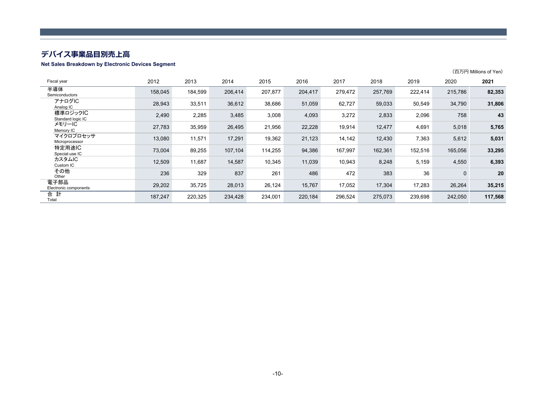## **デバイス事業品⽬別売上⾼**

#### **Net Sales Breakdown by Electronic Devices Segment**

|                               |         |         |         |         |         |         |         |         |             | (百万円 Millions of Yen) |
|-------------------------------|---------|---------|---------|---------|---------|---------|---------|---------|-------------|-----------------------|
| Fiscal year                   | 2012    | 2013    | 2014    | 2015    | 2016    | 2017    | 2018    | 2019    | 2020        | 2021                  |
| 半導体<br>Semiconductors         | 158,045 | 184,599 | 206,414 | 207,877 | 204,417 | 279,472 | 257,769 | 222,414 | 215,786     | 82,353                |
| アナログIC<br>Analog IC           | 28,943  | 33,511  | 36,612  | 38,686  | 51,059  | 62,727  | 59,033  | 50,549  | 34,790      | 31,806                |
| 標準ロジックIC<br>Standard logic IC | 2,490   | 2,285   | 3,485   | 3,008   | 4,093   | 3,272   | 2,833   | 2,096   | 758         | 43                    |
| メモリーIC<br>Memory IC           | 27,783  | 35,959  | 26,495  | 21,956  | 22,228  | 19,914  | 12,477  | 4,691   | 5,018       | 5,765                 |
| マイクロプロセッサ<br>Microprocessor   | 13,080  | 11,571  | 17,291  | 19,362  | 21,123  | 14,142  | 12,430  | 7,363   | 5,612       | 5,031                 |
| 特定用途IC<br>Special-use IC      | 73,004  | 89,255  | 107,104 | 114,255 | 94,386  | 167,997 | 162,361 | 152,516 | 165,056     | 33,295                |
| カスタムIC<br>Custom IC           | 12,509  | 11,687  | 14,587  | 10,345  | 11,039  | 10,943  | 8,248   | 5,159   | 4,550       | 6,393                 |
| その他<br>Other                  | 236     | 329     | 837     | 261     | 486     | 472     | 383     | 36      | $\mathbf 0$ | 20                    |
| 電子部品<br>Electronic components | 29,202  | 35,725  | 28,013  | 26,124  | 15,767  | 17,052  | 17,304  | 17,283  | 26,264      | 35,215                |
| 合 計<br>Total                  | 187,247 | 220,325 | 234,428 | 234,001 | 220,184 | 296,524 | 275,073 | 239,698 | 242,050     | 117,568               |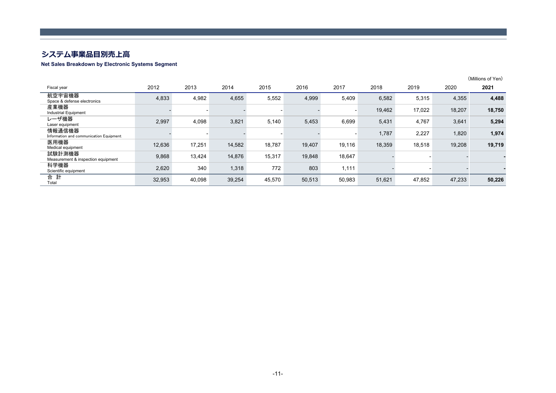## **システム事業品⽬別売上⾼**

#### **Net Sales Breakdown by Electronic Systems Segment**

|                                                   |        |        |        |        |        |                          |        |        |        | (Millions of Yen) |
|---------------------------------------------------|--------|--------|--------|--------|--------|--------------------------|--------|--------|--------|-------------------|
| Fiscal year                                       | 2012   | 2013   | 2014   | 2015   | 2016   | 2017                     | 2018   | 2019   | 2020   | 2021              |
| 航空宇宙機器<br>Space & defense electronics             | 4,833  | 4,982  | 4,655  | 5,552  | 4,999  | 5,409                    | 6,582  | 5,315  | 4,355  | 4,488             |
| 産業機器<br><b>Industrial Equipment</b>               |        |        |        |        |        | $\overline{\phantom{a}}$ | 19,462 | 17,022 | 18,207 | 18,750            |
| レーザ機器<br>Laser equipment                          | 2,997  | 4,098  | 3,821  | 5,140  | 5,453  | 6,699                    | 5,431  | 4,767  | 3,641  | 5,294             |
| 情報通信機器<br>Information and communication Equipment |        |        |        |        |        | $\overline{\phantom{a}}$ | 1,787  | 2,227  | 1,820  | 1,974             |
| 医用機器<br>Medical equipment                         | 12,636 | 17,251 | 14,582 | 18,787 | 19,407 | 19,116                   | 18,359 | 18,518 | 19,208 | 19,719            |
| 試験計測機器<br>Measurement & inspection equipment      | 9,868  | 13,424 | 14,876 | 15,317 | 19,848 | 18,647                   |        |        |        |                   |
| 科学機器<br>Scientific equipment                      | 2,620  | 340    | 1,318  | 772    | 803    | 1,111                    |        |        |        |                   |
| 合 計<br>Total                                      | 32,953 | 40,098 | 39,254 | 45,570 | 50,513 | 50,983                   | 51,621 | 47,852 | 47,233 | 50,226            |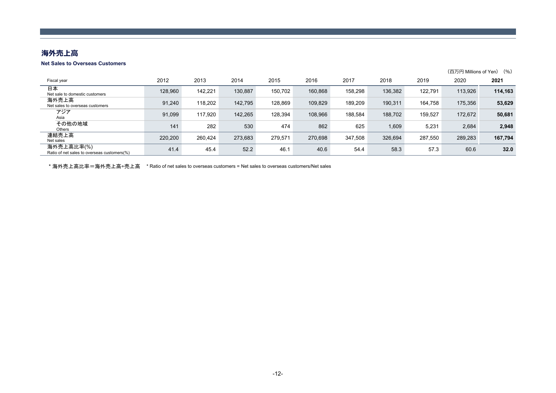## 海外売上高

#### **Net Sales to Overseas Customers**

|                                                           |         |         |         |         |         |         |         |         | (百万円 Millions of Yen) | (9/6)   |
|-----------------------------------------------------------|---------|---------|---------|---------|---------|---------|---------|---------|-----------------------|---------|
| Fiscal year                                               | 2012    | 2013    | 2014    | 2015    | 2016    | 2017    | 2018    | 2019    | 2020                  | 2021    |
| 日本<br>Net sale to domestic customers                      | 128,960 | 142,221 | 130,887 | 150,702 | 160,868 | 158,298 | 136,382 | 122,791 | 113,926               | 114,163 |
| 海外売上高<br>Net sales to overseas customers                  | 91,240  | 118,202 | 142,795 | 128,869 | 109,829 | 189,209 | 190,311 | 164.758 | 175,356               | 53,629  |
| アジア<br>Asia                                               | 91.099  | 117.920 | 142.265 | 128.394 | 108.966 | 188.584 | 188,702 | 159.527 | 172,672               | 50,681  |
| その他の地域<br>Others                                          | 141     | 282     | 530     | 474     | 862     | 625     | 1,609   | 5,231   | 2,684                 | 2,948   |
| 連結売上高<br>Net sales                                        | 220,200 | 260,424 | 273,683 | 279.571 | 270,698 | 347,508 | 326,694 | 287,550 | 289,283               | 167,794 |
| 海外売上高比率(%)<br>Ratio of net sales to overseas customers(%) | 41.4    | 45.4    | 52.2    | 46.1    | 40.6    | 54.4    | 58.3    | 57.3    | 60.6                  | 32.0    |

\* 海外売上高比率=海外売上高÷売上高 \* Ratio of net sales to overseas customers = Net sales to overseas customers/Net sales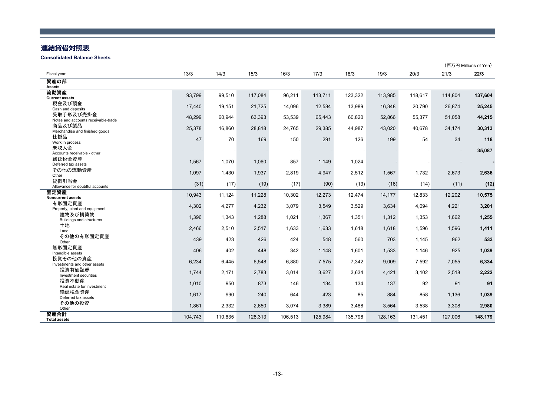## **連結貸借対照表**

**Consolidated Balance Sheets**

|                                     |         |         |         |         |         |         |         |         |                | (百万円 Millions of Yen) |
|-------------------------------------|---------|---------|---------|---------|---------|---------|---------|---------|----------------|-----------------------|
| Fiscal year                         | 13/3    | 14/3    | 15/3    | 16/3    | 17/3    | 18/3    | 19/3    | 20/3    | 21/3           | 22/3                  |
| 資産の部<br><b>Assets</b>               |         |         |         |         |         |         |         |         |                |                       |
| 流動資産                                | 93,799  | 99,510  | 117,084 | 96,211  | 113,711 | 123,322 | 113,985 | 118,617 | 114,804        | 137,604               |
| <b>Current assets</b>               |         |         |         |         |         |         |         |         |                |                       |
| 現金及び預金<br>Cash and deposits         | 17,440  | 19,151  | 21,725  | 14,096  | 12,584  | 13,989  | 16,348  | 20,790  | 26,874         | 25,245                |
| 受取手形及び売掛金                           |         |         |         |         |         |         |         |         |                |                       |
| Notes and accounts receivable-trade | 48,299  | 60,944  | 63,393  | 53,539  | 65,443  | 60,820  | 52,866  | 55,377  | 51,058         | 44,215                |
| 商品及び製品                              |         |         |         |         |         |         |         |         |                |                       |
| Merchandise and finished goods      | 25,378  | 16,860  | 28,818  | 24,765  | 29,385  | 44,987  | 43,020  | 40,678  | 34,174         | 30,313                |
| 仕掛品                                 |         |         |         |         |         |         |         |         |                |                       |
| Work in process                     | 47      | 70      | 169     | 150     | 291     | 126     | 199     | 54      | 34             | 118                   |
| 未収入金                                |         |         |         |         |         |         |         |         |                |                       |
| Accounts receivable - other         |         |         |         |         |         |         |         |         | $\blacksquare$ | 35,087                |
| 繰延税金資産                              | 1,567   | 1,070   | 1,060   | 857     | 1,149   | 1,024   |         |         |                |                       |
| Deferred tax assets                 |         |         |         |         |         |         |         |         |                |                       |
| その他の流動資産                            | 1,097   | 1,430   | 1,937   | 2,819   | 4,947   | 2,512   | 1,567   | 1,732   | 2,673          | 2,636                 |
| Other                               |         |         |         |         |         |         |         |         |                |                       |
| 貸倒引当金                               | (31)    | (17)    | (19)    | (17)    | (90)    | (13)    | (16)    | (14)    | (11)           | (12)                  |
| Allowance for doubtful accounts     |         |         |         |         |         |         |         |         |                |                       |
| 固定資産                                | 10,943  | 11,124  | 11,228  | 10,302  | 12,273  | 12,474  | 14,177  | 12,833  | 12,202         | 10,575                |
| <b>Noncurrent assets</b><br>有形固定資産  |         |         |         |         |         |         |         |         |                |                       |
| Property, plant and equipment       | 4,302   | 4,277   | 4,232   | 3,079   | 3,549   | 3,529   | 3,634   | 4,094   | 4,221          | 3,201                 |
| 建物及び構築物                             |         |         |         |         |         |         |         |         |                |                       |
| <b>Buildings and structures</b>     | 1,396   | 1,343   | 1,288   | 1,021   | 1,367   | 1,351   | 1,312   | 1,353   | 1,662          | 1,255                 |
| 土地                                  |         |         |         |         |         |         |         |         |                |                       |
| Land                                | 2.466   | 2,510   | 2,517   | 1,633   | 1,633   | 1.618   | 1,618   | 1,596   | 1,596          | 1,411                 |
| その他の有形固定資産                          |         |         |         |         |         |         |         |         |                |                       |
| Other                               | 439     | 423     | 426     | 424     | 548     | 560     | 703     | 1,145   | 962            | 533                   |
| 無形固定資産                              | 406     | 402     | 448     | 342     | 1,148   |         |         |         | 925            |                       |
| Intangible assets                   |         |         |         |         |         | 1,601   | 1,533   | 1,146   |                | 1,039                 |
| 投資その他の資産                            | 6,234   | 6,445   | 6,548   | 6,880   | 7,575   | 7,342   | 9,009   | 7,592   | 7,055          | 6,334                 |
| Investments and other assets        |         |         |         |         |         |         |         |         |                |                       |
| 投資有価証券                              | 1,744   | 2,171   | 2,783   | 3,014   | 3,627   | 3,634   | 4,421   | 3,102   | 2,518          | 2,222                 |
| Investment securities               |         |         |         |         |         |         |         |         |                |                       |
| 投資不動産                               | 1,010   | 950     | 873     | 146     | 134     | 134     | 137     | 92      | 91             | 91                    |
| Real estate for investment          |         |         |         |         |         |         |         |         |                |                       |
| 繰延税金資産                              | 1,617   | 990     | 240     | 644     | 423     | 85      | 884     | 858     | 1,136          | 1,039                 |
| Deferred tax assets<br>その他の投資       |         |         |         |         |         |         |         |         |                |                       |
| Other                               | 1,861   | 2,332   | 2,650   | 3,074   | 3,389   | 3,488   | 3,564   | 3,538   | 3,308          | 2,980                 |
| 資産合計                                |         |         |         |         |         |         |         |         |                |                       |
| <b>Total assets</b>                 | 104,743 | 110,635 | 128,313 | 106,513 | 125,984 | 135,796 | 128,163 | 131,451 | 127,006        | 148,179               |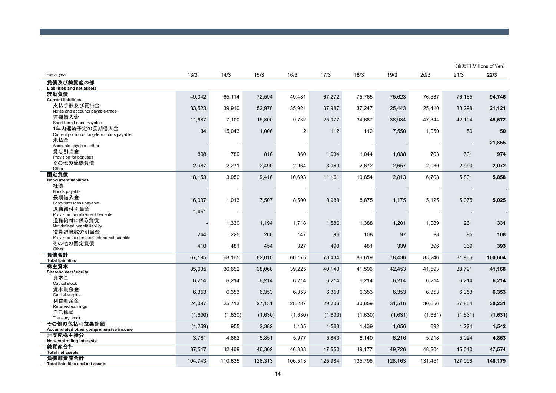|                                                           |         |         |         |                |         |         |         |         |         | (百万円 Millions of Yen) |
|-----------------------------------------------------------|---------|---------|---------|----------------|---------|---------|---------|---------|---------|-----------------------|
| Fiscal year                                               | 13/3    | 14/3    | 15/3    | 16/3           | 17/3    | 18/3    | 19/3    | 20/3    | 21/3    | 22/3                  |
| 負債及び純資産の部<br>Liabilities and net assets                   |         |         |         |                |         |         |         |         |         |                       |
| 流動負債<br><b>Current liabilities</b>                        | 49,042  | 65,114  | 72,594  | 49,481         | 67,272  | 75,765  | 75,623  | 76,537  | 76,165  | 94,746                |
| 支払手形及び買掛金<br>Notes and accounts payable-trade             | 33,523  | 39,910  | 52,978  | 35,921         | 37,987  | 37,247  | 25,443  | 25,410  | 30,298  | 21,121                |
| 短期借入金                                                     | 11,687  | 7,100   | 15,300  | 9,732          | 25,077  | 34,687  | 38,934  | 47,344  | 42,194  | 48,672                |
| Short-term Loans Payable<br>1年内返済予定の長期借入金                 | 34      | 15,043  | 1,006   | $\overline{c}$ | 112     | 112     | 7,550   | 1,050   | 50      | 50                    |
| Current portion of long-term loans payable<br>未払金         |         |         |         |                |         |         |         |         |         | 21,855                |
| Accounts payable - other<br>賞与引当金                         |         |         |         |                |         |         |         |         |         |                       |
| Provision for bonuses<br>その他の流動負債                         | 808     | 789     | 818     | 860            | 1,034   | 1,044   | 1,038   | 703     | 631     | 974                   |
| Other<br>固定負債                                             | 2,987   | 2,271   | 2,490   | 2,964          | 3,060   | 2,672   | 2,657   | 2,030   | 2,990   | 2,072                 |
| <b>Noncurrent liabilities</b>                             | 18,153  | 3,050   | 9,416   | 10,693         | 11,161  | 10,854  | 2,813   | 6,708   | 5,801   | 5,858                 |
| 社債<br>Bonds payable                                       |         |         |         |                |         |         |         |         |         |                       |
| 長期借入金<br>Long-term loans payable                          | 16,037  | 1,013   | 7,507   | 8,500          | 8,988   | 8,875   | 1,175   | 5,125   | 5,075   | 5,025                 |
| 退職給付引当金<br>Provision for retirement benefits              | 1,461   |         |         |                |         |         |         |         |         |                       |
| 退職給付に係る負債<br>Net defined benefit liability                |         | 1,330   | 1,194   | 1,718          | 1,586   | 1,388   | 1,201   | 1,089   | 261     | 331                   |
| 役員退職慰労引当金<br>Provision for directors' retirement benefits | 244     | 225     | 260     | 147            | 96      | 108     | 97      | 98      | 95      | 108                   |
| その他の固定負債<br>Other                                         | 410     | 481     | 454     | 327            | 490     | 481     | 339     | 396     | 369     | 393                   |
| 負債合計<br><b>Total liabilities</b>                          | 67,195  | 68,165  | 82,010  | 60,175         | 78,434  | 86,619  | 78,436  | 83,246  | 81,966  | 100,604               |
| 株主資本<br>Shareholders' equity                              | 35,035  | 36,652  | 38,068  | 39,225         | 40,143  | 41,596  | 42,453  | 41,593  | 38,791  | 41,168                |
| 資本金                                                       | 6,214   | 6,214   | 6,214   | 6,214          | 6,214   | 6,214   | 6,214   | 6,214   | 6,214   | 6,214                 |
| Capital stock<br>資本剰余金                                    | 6,353   | 6,353   | 6,353   | 6,353          | 6,353   | 6,353   | 6,353   | 6,353   | 6,353   | 6,353                 |
| Capital surplus<br>利益剰余金                                  | 24,097  | 25,713  | 27,131  | 28,287         | 29,206  | 30,659  | 31,516  | 30,656  | 27,854  | 30,231                |
| Retained earnings<br>自己株式                                 |         |         |         |                |         |         |         |         |         |                       |
| Treasury stock<br>その他の包括利益累計額                             | (1,630) | (1,630) | (1,630) | (1,630)        | (1,630) | (1,630) | (1,631) | (1,631) | (1,631) | (1,631)               |
| Accumulated other comprehensive income<br>非支配株主持分         | (1,269) | 955     | 2,382   | 1,135          | 1,563   | 1,439   | 1,056   | 692     | 1,224   | 1,542                 |
| Non-controlling interests                                 | 3,781   | 4,862   | 5,851   | 5,977          | 5,843   | 6,140   | 6,216   | 5,918   | 5,024   | 4,863                 |
| 純資産合計<br><b>Total net assets</b>                          | 37,547  | 42.469  | 46,302  | 46,338         | 47,550  | 49.177  | 49.726  | 48.204  | 45.040  | 47,574                |
| 負債純資産合計<br><b>Total liabilities and net assets</b>        | 104,743 | 110,635 | 128,313 | 106,513        | 125,984 | 135,796 | 128,163 | 131,451 | 127,006 | 148,179               |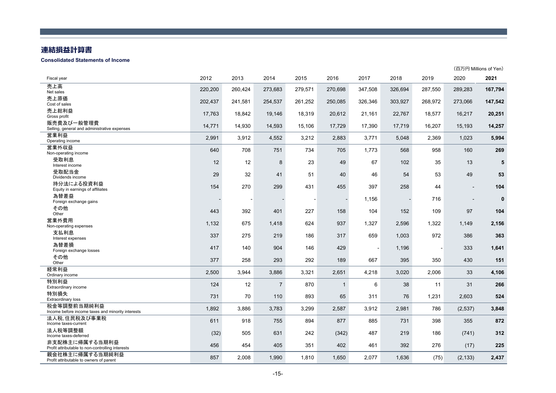#### **連結損益計算書**

#### **Consolidated Statements of Income**

|                                                                    |         |         |                |         |              |         |         |         |                          | (百万円 Millions of Yen) |
|--------------------------------------------------------------------|---------|---------|----------------|---------|--------------|---------|---------|---------|--------------------------|-----------------------|
| Fiscal year                                                        | 2012    | 2013    | 2014           | 2015    | 2016         | 2017    | 2018    | 2019    | 2020                     | 2021                  |
| 売上高<br>Net sales                                                   | 220,200 | 260,424 | 273,683        | 279,571 | 270,698      | 347,508 | 326,694 | 287,550 | 289,283                  | 167,794               |
| 売上原価<br>Cost of sales                                              | 202,437 | 241,581 | 254,537        | 261,252 | 250,085      | 326,346 | 303,927 | 268,972 | 273,066                  | 147,542               |
| 売上総利益<br>Gross profit                                              | 17,763  | 18,842  | 19,146         | 18,319  | 20,612       | 21,161  | 22,767  | 18,577  | 16,217                   | 20,251                |
| 販売費及び一般管理費<br>Selling, general and administrative expenses         | 14,771  | 14,930  | 14,593         | 15,106  | 17,729       | 17,390  | 17,719  | 16,207  | 15,193                   | 14,257                |
| 営業利益<br>Operating income                                           | 2,991   | 3,912   | 4,552          | 3,212   | 2,883        | 3,771   | 5,048   | 2,369   | 1,023                    | 5,994                 |
| 営業外収益<br>Non-operating income                                      | 640     | 708     | 751            | 734     | 705          | 1,773   | 568     | 958     | 160                      | 269                   |
| 受取利息<br>Interest income                                            | 12      | 12      | 8              | 23      | 49           | 67      | 102     | 35      | 13                       | 5                     |
| 受取配当金<br>Dividends income                                          | 29      | 32      | 41             | 51      | 40           | 46      | 54      | 53      | 49                       | 53                    |
| 持分法による投資利益<br>Equity in earnings of affiliates                     | 154     | 270     | 299            | 431     | 455          | 397     | 258     | 44      | $\overline{\phantom{a}}$ | 104                   |
| 為替差益<br>Foreign exchange gains                                     |         |         |                |         |              | 1,156   |         | 716     |                          | $\mathbf 0$           |
| その他<br>Other                                                       | 443     | 392     | 401            | 227     | 158          | 104     | 152     | 109     | 97                       | 104                   |
| 営業外費用<br>Non-operating expenses                                    | 1,132   | 675     | 1,418          | 624     | 937          | 1,327   | 2,596   | 1,322   | 1.149                    | 2,156                 |
| 支払利息<br>Interest expenses                                          | 337     | 275     | 219            | 186     | 317          | 659     | 1,003   | 972     | 386                      | 363                   |
| 為替差損<br>Foreign exchange losses                                    | 417     | 140     | 904            | 146     | 429          |         | 1,196   |         | 333                      | 1,641                 |
| その他<br>Other                                                       | 377     | 258     | 293            | 292     | 189          | 667     | 395     | 350     | 430                      | 151                   |
| 経常利益<br>Ordinary income                                            | 2,500   | 3,944   | 3,886          | 3,321   | 2,651        | 4,218   | 3,020   | 2,006   | 33                       | 4,106                 |
| 特別利益<br>Extraordinary income                                       | 124     | 12      | $\overline{7}$ | 870     | $\mathbf{1}$ | 6       | 38      | 11      | 31                       | 266                   |
| 特別損失<br><b>Extraordinary loss</b>                                  | 731     | 70      | 110            | 893     | 65           | 311     | 76      | 1,231   | 2,603                    | 524                   |
| 税金等調整前当期純利益<br>Income before income taxes and minority interests   | 1,892   | 3,886   | 3,783          | 3,299   | 2,587        | 3,912   | 2,981   | 786     | (2, 537)                 | 3,848                 |
| 法人税、住民税及び事業税<br>Income taxes-current                               | 611     | 918     | 755            | 894     | 877          | 885     | 731     | 398     | 355                      | 872                   |
| 法人税等調整額<br>Income taxes-deferred                                   | (32)    | 505     | 631            | 242     | (342)        | 487     | 219     | 186     | (741)                    | 312                   |
| 非支配株主に帰属する当期利益<br>Profit attributable to non-controlling interests | 456     | 454     | 405            | 351     | 402          | 461     | 392     | 276     | (17)                     | 225                   |
| 親会社株主に帰属する当期純利益<br>Profit attributable to owners of parent         | 857     | 2.008   | 1,990          | 1,810   | 1.650        | 2,077   | 1.636   | (75)    | (2, 133)                 | 2,437                 |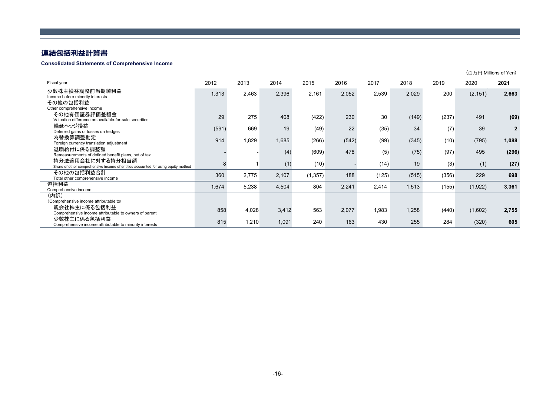## **連結包括利益計算書**

#### **Consolidated Statements of Comprehensive Income**

|                                                                                                       |       |       |       |          |       |       |       |       |          | (百万円 Millions of Yen) |
|-------------------------------------------------------------------------------------------------------|-------|-------|-------|----------|-------|-------|-------|-------|----------|-----------------------|
| Fiscal year                                                                                           | 2012  | 2013  | 2014  | 2015     | 2016  | 2017  | 2018  | 2019  | 2020     | 2021                  |
| 少数株主損益調整前当期純利益<br>Income before minority interests                                                    | 1,313 | 2,463 | 2,396 | 2,161    | 2,052 | 2,539 | 2,029 | 200   | (2, 151) | 2,663                 |
| その他の包括利益<br>Other comprehensive income                                                                |       |       |       |          |       |       |       |       |          |                       |
| その他有価証券評価差額金<br>Valuation difference on available-for-sale securities                                 | 29    | 275   | 408   | (422)    | 230   | 30    | (149) | (237) | 491      | (69)                  |
| 繰延ヘッジ損益<br>Deferred gains or losses on hedges                                                         | (591) | 669   | 19    | (49)     | 22    | (35)  | 34    | (7)   | 39       | $\overline{2}$        |
| 為替換算調整勘定<br>Foreign currency translation adjustment                                                   | 914   | 1,829 | 1,685 | (266)    | (542) | (99)  | (345) | (10)  | (795)    | 1,088                 |
| 退職給付に係る調整額<br>Remeasurements of defined benefit plans, net of tax                                     |       |       | (4)   | (609)    | 478   | (5)   | (75)  | (97)  | 495      | (296)                 |
| 持分法適用会社に対する持分相当額<br>Share of other comprehensive income of entities accounted for using equity method | 8     | 1     | (1)   | (10)     |       | (14)  | 19    | (3)   | (1)      | (27)                  |
| その他の包括利益合計<br>Total other comprehensive income                                                        | 360   | 2,775 | 2,107 | (1, 357) | 188   | (125) | (515) | (356) | 229      | 698                   |
| 包括利益<br>Comprehensive income                                                                          | 1,674 | 5,238 | 4,504 | 804      | 2,241 | 2,414 | 1,513 | (155) | (1, 922) | 3,361                 |
| (内訳)<br>(Comprehensive income attributable to)                                                        |       |       |       |          |       |       |       |       |          |                       |
| 親会社株主に係る包括利益<br>Comprehensive income attributable to owners of parent                                 | 858   | 4,028 | 3,412 | 563      | 2,077 | 1,983 | 1,258 | (440) | (1,602)  | 2,755                 |
| 少数株主に係る包括利益<br>Comprehensive income attributable to minority interests                                | 815   | 1,210 | 1,091 | 240      | 163   | 430   | 255   | 284   | (320)    | 605                   |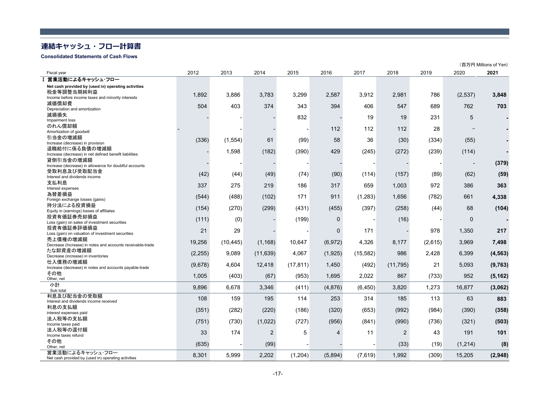## **連結キャッシュ・フロー計算書**

#### **Consolidated Statements of Cash Flows**

|                                                                       |          |           |           |           |                |          |                |         |                          | (百万円 Millions of Yen) |
|-----------------------------------------------------------------------|----------|-----------|-----------|-----------|----------------|----------|----------------|---------|--------------------------|-----------------------|
| Fiscal year                                                           | 2012     | 2013      | 2014      | 2015      | 2016           | 2017     | 2018           | 2019    | 2020                     | 2021                  |
| Ⅰ 営業活動によるキャッシュ・フロー                                                    |          |           |           |           |                |          |                |         |                          |                       |
| Net cash provided by (used in) operating activities                   |          |           |           |           |                |          |                |         |                          |                       |
| 税金等調整当期純利益                                                            | 1,892    | 3,886     | 3,783     | 3,299     | 2,587          | 3,912    | 2,981          | 786     | (2,537)                  | 3,848                 |
| Income before income taxes and minority interests<br>減価償却費            |          |           |           |           |                |          |                |         |                          |                       |
| Depreciation and amortization                                         | 504      | 403       | 374       | 343       | 394            | 406      | 547            | 689     | 762                      | 703                   |
| 減損損失                                                                  |          |           |           | 832       |                | 19       | 19             | 231     | 5                        |                       |
| Impairment loss                                                       |          |           |           |           |                |          |                |         |                          |                       |
| のれん償却額                                                                |          |           |           |           | 112            | 112      | 112            | 28      |                          |                       |
| Amortization of goodwill<br>引当金の増減額                                   |          |           |           |           |                |          |                |         |                          |                       |
| Increase (decrease) in provision                                      | (336)    | (1, 554)  | 61        | (99)      | 58             | 36       | (30)           | (334)   | (55)                     |                       |
| 退職給付に係る負債の増減額                                                         |          | 1,598     | (182)     | (390)     | 429            |          |                |         | (114)                    |                       |
| Increase (decrease) in net defined benefit liabilities                |          |           |           |           |                | (245)    | (272)          | (239)   |                          |                       |
| 貸倒引当金の増減額                                                             |          |           |           |           |                |          |                |         | $\overline{\phantom{a}}$ | (379)                 |
| Increase (decrease) in allowance for doubtful accounts<br>受取利息及び受取配当金 |          |           |           |           |                |          |                |         |                          |                       |
| Interest and dividends income                                         | (42)     | (44)      | (49)      | (74)      | (90)           | (114)    | (157)          | (89)    | (62)                     | (59)                  |
| 支払利息                                                                  | 337      | 275       | 219       | 186       | 317            | 659      | 1,003          | 972     | 386                      | 363                   |
| Interest expenses                                                     |          |           |           |           |                |          |                |         |                          |                       |
| 為替差損益                                                                 | (544)    | (488)     | (102)     | 171       | 911            | (1,283)  | 1,656          | (782)   | 661                      | 4,338                 |
| Foreign exchange losses (gains)<br>持分法による投資損益                         |          |           |           |           |                |          |                |         |                          |                       |
| Equity in (earnings) losses of affiliates                             | (154)    | (270)     | (299)     | (431)     | (455)          | (397)    | (258)          | (44)    | 68                       | (104)                 |
| 投資有価証券売却損益                                                            |          |           |           | (199)     | $\Omega$       |          | (16)           |         | $\Omega$                 |                       |
| Loss (gain) on sales of investment securities                         | (111)    | (0)       |           |           |                |          |                |         |                          |                       |
| 投資有価証券評価損益                                                            | 21       | 29        |           |           | $\Omega$       | 171      |                | 978     | 1,350                    | 217                   |
| Loss (gain) on valuation of investment securities<br>売上債権の増減額         |          |           |           |           |                |          |                |         |                          |                       |
| Decrease (Increase) in notes and accounts receivable-trade            | 19,256   | (10, 445) | (1, 168)  | 10,647    | (6, 972)       | 4,326    | 8,177          | (2,615) | 3,969                    | 7,498                 |
| たな卸資産の増減額                                                             |          | 9,089     | (11, 639) | 4,067     | (1,925)        | (15,582) | 986            | 2,428   | 6,399                    | (4, 563)              |
| Decrease (increase) in inventories                                    | (2, 255) |           |           |           |                |          |                |         |                          |                       |
| 仕入債務の増減額                                                              | (9,678)  | 4,604     | 12,418    | (17, 811) | 1,450          | (492)    | (11, 795)      | 21      | 5,093                    | (9,763)               |
| Increase (decrease) in notes and accounts payable-trade<br>その他        |          |           |           |           |                |          |                |         |                          |                       |
| Other, net                                                            | 1,005    | (403)     | (67)      | (953)     | 1,695          | 2,022    | 867            | (733)   | 952                      | (5, 162)              |
| 小計                                                                    | 9,896    | 6,678     | 3.346     | (411)     | (4,876)        | (6, 450) | 3,820          | 1,273   | 16,877                   | (3,062)               |
| Sub total                                                             |          |           |           |           |                |          |                |         |                          |                       |
| 利息及び配当金の受取額<br>Interest and dividends income received                 | 108      | 159       | 195       | 114       | 253            | 314      | 185            | 113     | 63                       | 883                   |
| 利息の支払額                                                                |          |           |           |           |                |          |                |         |                          |                       |
| interest expenses paid                                                | (351)    | (282)     | (220)     | (186)     | (320)          | (653)    | (992)          | (984)   | (390)                    | (358)                 |
| 法人税等の支払額                                                              | (751)    | (730)     | (1,022)   | (727)     | (956)          | (841)    | (990)          | (736)   | (321)                    | (503)                 |
| Income taxes paid                                                     |          |           |           |           |                |          |                |         |                          |                       |
| 法人税等の還付額<br>Income taxes refund                                       | 33       | 174       | 2         | 5         | $\overline{4}$ | 11       | $\overline{2}$ | 43      | 191                      | 101                   |
| その他                                                                   |          |           |           |           |                |          |                |         |                          |                       |
| Other, net                                                            | (635)    |           | (99)      |           |                |          | (33)           | (19)    | (1,214)                  | (8)                   |
| 営業活動によるキャッシュ・フロー                                                      | 8,301    | 5.999     | 2.202     | (1, 204)  | (5,894)        | (7,619)  | 1.992          | (309)   | 15.205                   | (2,948)               |
| Net cash provided by (used in) operating activities                   |          |           |           |           |                |          |                |         |                          |                       |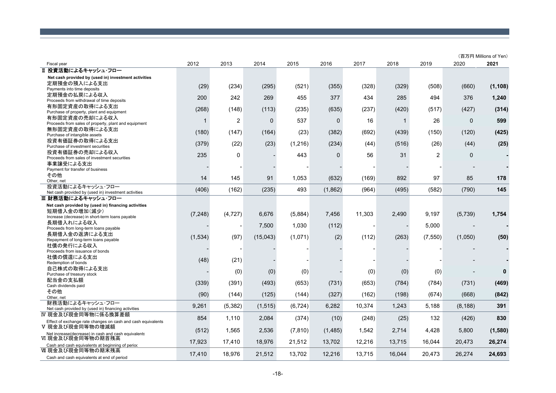|                                                                          |          |          |             |          |             |        |              |                |              | (百万円 Millions of Yen) |
|--------------------------------------------------------------------------|----------|----------|-------------|----------|-------------|--------|--------------|----------------|--------------|-----------------------|
| Fiscal year                                                              | 2012     | 2013     | 2014        | 2015     | 2016        | 2017   | 2018         | 2019           | 2020         | 2021                  |
| Ⅱ 投資活動によるキャッシュ・フロー                                                       |          |          |             |          |             |        |              |                |              |                       |
| Net cash provided by (used in) investment activities                     |          |          |             |          |             |        |              |                |              |                       |
| 定期預金の預入による支出                                                             | (29)     | (234)    | (295)       | (521)    | (355)       | (328)  | (329)        | (508)          | (660)        | (1, 108)              |
| Payments into time deposits                                              |          |          |             |          |             |        |              |                |              |                       |
| 定期預金の払戻による収入                                                             | 200      | 242      | 269         | 455      | 377         | 434    | 285          | 494            | 376          | 1,240                 |
| Proceeds from withdrawal of time deposits                                |          |          |             |          |             |        |              |                |              |                       |
| 有形固定資産の取得による支出<br>Purchase of property, plant and equipment              | (268)    | (148)    | (113)       | (235)    | (635)       | (237)  | (420)        | (517)          | (427)        | (314)                 |
| 有形固定資産の売却による収入                                                           |          |          |             |          |             |        |              |                |              |                       |
| Proceeds from sales of property, plant and equipment                     | 1        | 2        | $\mathbf 0$ | 537      | $\mathbf 0$ | 16     | $\mathbf{1}$ | 26             | $\mathbf{0}$ | 599                   |
| 無形固定資産の取得による支出                                                           |          |          |             |          |             |        |              |                |              |                       |
| Purchase of intangible assets                                            | (180)    | (147)    | (164)       | (23)     | (382)       | (692)  | (439)        | (150)          | (120)        | (425)                 |
| 投資有価証券の取得による支出                                                           | (379)    | (22)     | (23)        | (1,216)  | (234)       | (44)   | (516)        | (26)           | (44)         | (25)                  |
| Purchase of investment securities                                        |          |          |             |          |             |        |              |                |              |                       |
| 投資有価証券の売却による収入                                                           | 235      | 0        |             | 443      | 0           | 56     | 31           | $\overline{c}$ | 0            |                       |
| Proceeds from sales of investment securities                             |          |          |             |          |             |        |              |                |              |                       |
| 事業譲受による支出<br>Payment for transfer of business                            |          |          |             |          |             |        |              |                |              |                       |
| その他                                                                      |          |          |             |          |             |        |              |                |              |                       |
| Other, net                                                               | 14       | 145      | 91          | 1,053    | (632)       | (169)  | 892          | 97             | 85           | 178                   |
| 投資活動によるキャッシュ・フロー                                                         |          |          |             |          |             |        |              |                |              |                       |
| Net cash provided by (used in) investment activities                     | (406)    | (162)    | (235)       | 493      | (1,862)     | (964)  | (495)        | (582)          | (790)        | 145                   |
| Ⅲ 財務活動によるキャッシュ・フロー                                                       |          |          |             |          |             |        |              |                |              |                       |
| Net cash provided by (used in) financing activities                      |          |          |             |          |             |        |              |                |              |                       |
| 短期借入金の増加(減少)                                                             |          |          |             |          |             |        |              |                |              |                       |
| Increase (decrease) in short-term loans payable                          | (7, 248) | (4, 727) | 6,676       | (5,884)  | 7,456       | 11,303 | 2,490        | 9,197          | (5,739)      | 1,754                 |
| 長期借入れによる収入                                                               |          |          | 7,500       | 1,030    | (112)       |        |              | 5,000          |              |                       |
| Proceeds from long-term loans payable                                    |          |          |             |          |             |        |              |                |              |                       |
| 長期借入金の返済による支出                                                            | (1,534)  | (97)     | (15,043)    | (1,071)  | (2)         | (112)  | (263)        | (7, 550)       | (1,050)      | (50)                  |
| Repayment of long-term loans payable                                     |          |          |             |          |             |        |              |                |              |                       |
| 社債の発行による収入<br>Proceeds from issuance of bonds                            |          |          |             |          |             |        |              |                |              |                       |
| 社債の償還による支出                                                               |          |          |             |          |             |        |              |                |              |                       |
| Redemption of bonds                                                      | (48)     | (21)     |             |          |             |        |              |                |              |                       |
| 自己株式の取得による支出                                                             |          |          |             |          |             |        |              |                |              |                       |
| Purchase of treasury stock                                               |          | (0)      | (0)         | (0)      |             | (0)    | (0)          | (0)            |              | 0                     |
| 配当金の支払額                                                                  | (339)    | (391)    | (493)       | (653)    | (731)       | (653)  | (784)        | (784)          | (731)        | (469)                 |
| Cash dividends paid                                                      |          |          |             |          |             |        |              |                |              |                       |
| その他                                                                      | (90)     | (144)    | (125)       | (144)    | (327)       | (162)  | (198)        | (674)          | (668)        | (842)                 |
| Other, net                                                               |          |          |             |          |             |        |              |                |              |                       |
| 財務活動によるキャッシュ・フロー                                                         | 9,261    | (5, 382) | (1, 515)    | (6, 724) | 6,282       | 10,374 | 1,243        | 5,188          | (8, 188)     | 391                   |
| Net cash provided by (used in) financing activities                      |          |          |             |          |             |        |              |                |              |                       |
| Ⅳ 現金及び現金同等物に係る換算差額                                                       | 854      | 1,110    | 2,084       | (374)    | (10)        | (248)  | (25)         | 132            | (426)        | 830                   |
| Effect of exchange rate changes on cash and cash equivalents             |          |          |             |          |             |        |              |                |              |                       |
| Ⅴ 現金及び現金同等物の増減額                                                          | (512)    | 1,565    | 2,536       | (7, 810) | (1,485)     | 1,542  | 2,714        | 4,428          | 5,800        | (1,580)               |
| Net increase(decrease) in cash and cash equivalents<br>VI 現金及び現金同等物の期首残高 |          |          |             |          |             |        |              |                |              |                       |
| Cash and cash equivalents at beginning of period                         | 17,923   | 17,410   | 18.976      | 21,512   | 13,702      | 12,216 | 13,715       | 16.044         | 20,473       | 26,274                |
| Ⅵ 現金及び現金同等物の期末残高                                                         |          |          |             |          |             |        |              |                |              |                       |
| Cash and cash equivalents at end of period                               | 17,410   | 18,976   | 21,512      | 13,702   | 12,216      | 13,715 | 16,044       | 20,473         | 26,274       | 24,693                |
|                                                                          |          |          |             |          |             |        |              |                |              |                       |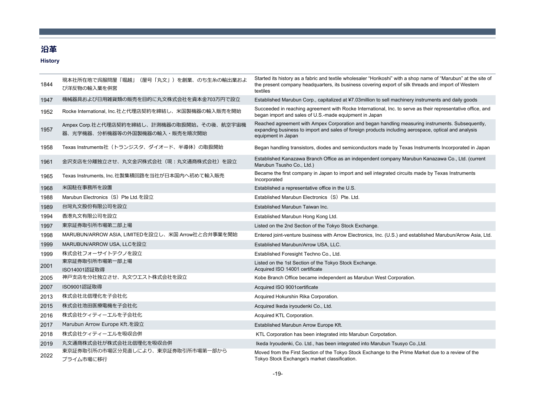## **沿⾰**

## **History**

| 1844 | 現本社所在地で呉服問屋「堀越」(屋号「丸文」)を創業、のち生糸の輸出業およ<br>び洋反物の輸入業を併営                        | Started its history as a fabric and textile wholesaler "Horikoshi" with a shop name of "Marubun" at the site of<br>the present company headquarters, its business covering export of silk threads and import of Western<br>textiles |
|------|-----------------------------------------------------------------------------|-------------------------------------------------------------------------------------------------------------------------------------------------------------------------------------------------------------------------------------|
| 1947 | 機械器具および日用雑貨類の販売を目的に丸文株式会社を資本金703万円で設立                                       | Established Marubun Corp., capitalized at ¥7.03million to sell machinery instruments and daily goods                                                                                                                                |
| 1952 | Rocke International, Inc.社と代理店契約を締結し、米国製機器の輸入販売を開始                          | Succeeded in reaching agreement with Rocke International, Inc. to serve as their representative office, and<br>began import and sales of U.S.-made equipment in Japan                                                               |
| 1957 | Ampex Corp.社と代理店契約を締結し、計測機器の取扱開始。その後、航空宇宙機<br>器、光学機器、分析機器等の外国製機器の輸入・販売を順次開始 | Reached agreement with Ampex Corporation and began handling measuring instruments. Subsequently,<br>expanding business to import and sales of foreign products including aerospace, optical and analysis<br>equipment in Japan      |
| 1958 | Texas Instruments社 (トランジスタ、ダイオード、半導体)の取扱開始                                  | Began handling transistors, diodes and semiconductors made by Texas Instruments Incorporated in Japan                                                                                                                               |
| 1961 | 金沢支店を分離独立させ、丸文金沢株式会社(現:丸文通商株式会社)を設立                                         | Established Kanazawa Branch Office as an independent company Marubun Kanazawa Co., Ltd. (current<br>Marubun Tsusho Co., Ltd.)                                                                                                       |
| 1965 | Texas Instruments, Inc.社製集積回路を当社が日本国内へ初めて輸入販売                               | Became the first company in Japan to import and sell integrated circuits made by Texas Instruments<br>Incorporated                                                                                                                  |
| 1968 | 米国駐在事務所を設置                                                                  | Established a representative office in the U.S.                                                                                                                                                                                     |
| 1988 | Marubun Electronics (S) Pte Ltd.を設立                                         | Established Marubun Electronics (S) Pte. Ltd.                                                                                                                                                                                       |
| 1989 | 台灣丸文股份有限公司を設立                                                               | Established Marubun Taiwan Inc.                                                                                                                                                                                                     |
| 1994 | 香港丸文有限公司を設立                                                                 | Established Marubun Hong Kong Ltd.                                                                                                                                                                                                  |
| 1997 | 東京証券取引所市場第二部上場                                                              | Listed on the 2nd Section of the Tokyo Stock Exchange.                                                                                                                                                                              |
| 1998 | MARUBUN/ARROW ASIA, LIMITEDを設立し、米国 Arrow社と合弁事業を開始                           | Entered joint-venture business with Arrow Electronics, Inc. (U.S.) and established Marubun/Arrow Asia, Ltd.                                                                                                                         |
| 1999 | MARUBUN/ARROW USA, LLCを設立                                                   | Established Marubun/Arrow USA, LLC.                                                                                                                                                                                                 |
| 1999 | 株式会社フォーサイトテクノを設立                                                            | Established Foresight Techno Co., Ltd.                                                                                                                                                                                              |
| 2001 | 東京証券取引所市場第一部上場<br>ISO14001認証取得                                              | Listed on the 1st Section of the Tokyo Stock Exchange.<br>Acquired ISO 14001 certificate                                                                                                                                            |
| 2005 | 神戸支店を分社独立させ、丸文ウエスト株式会社を設立                                                   | Kobe Branch Office became independent as Marubun West Corporation.                                                                                                                                                                  |
| 2007 | ISO9001認証取得                                                                 | Acquired ISO 9001 certificate                                                                                                                                                                                                       |
| 2013 | 株式会社北信理化を子会社化                                                               | Acquired Hokurshin Rika Corporation.                                                                                                                                                                                                |
| 2015 | 株式会社池田医療電機を子会社化                                                             | Acquired Ikeda iryoudenki Co., Ltd.                                                                                                                                                                                                 |
| 2016 | 株式会社ケィティーエルを子会社化                                                            | Acquired KTL Corporation.                                                                                                                                                                                                           |
| 2017 | Marubun Arrow Europe Kft.を設立                                                | Established Marubun Arrow Europe Kft.                                                                                                                                                                                               |
| 2018 | 株式会社ケィティーエルを吸収合併                                                            | KTL Corporation has been integrated into Marubun Corpotation.                                                                                                                                                                       |
| 2019 | 丸文通商株式会社が株式会社北信理化を吸収合併                                                      | Ikeda Iryoudenki, Co. Ltd., has been integrated into Marubun Tsusyo Co.,Ltd.                                                                                                                                                        |
| 2022 | 東京証券取引所の市場区分見直しにより、東京証券取引所市場第一部から<br>プライム市場に移行                              | Moved from the First Section of the Tokyo Stock Exchange to the Prime Market due to a review of the<br>Tokyo Stock Exchange's market classification.                                                                                |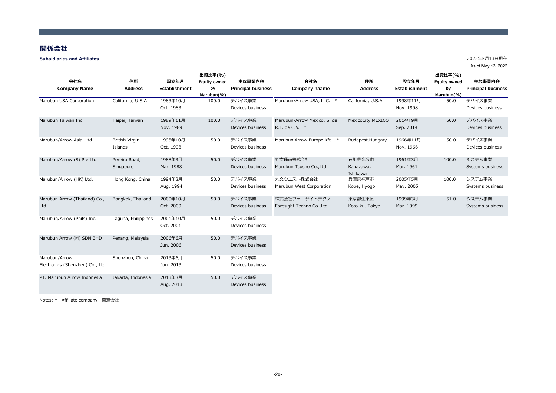#### **関係会社**

#### **Subsidiaries and Affiliates**

As of May 13, 2022

|                                  |                       |               | 出資比率(%)             |                           |                             |                       |                      | 出資比率(%)             |                           |
|----------------------------------|-----------------------|---------------|---------------------|---------------------------|-----------------------------|-----------------------|----------------------|---------------------|---------------------------|
| 会社名                              | 住所                    | 設立年月          | <b>Equity owned</b> | 主な事業内容                    | 会社名                         | 住所                    | 設立年月                 | <b>Equity owned</b> | 主な事業内容                    |
| <b>Company Name</b>              | <b>Address</b>        | Establishment | by                  | <b>Principal business</b> | Company naame               | <b>Address</b>        | <b>Establishment</b> | by                  | <b>Principal business</b> |
|                                  |                       |               | Marubun(%)          |                           |                             |                       |                      | Marubun(%)          |                           |
| Marubun USA Corporation          | California, U.S.A     | 1983年10月      | 100.0               | デバイス事業                    | Marubun/Arrow USA, LLC. *   | California, U.S.A     | 1998年11月             | 50.0                | デバイス事業                    |
|                                  |                       | Oct. 1983     |                     | Devices business          |                             |                       | Nov. 1998            |                     | Devices business          |
| Marubun Taiwan Inc.              | Taipei, Taiwan        | 1989年11月      | 100.0               | デバイス事業                    | Marubun-Arrow Mexico, S. de | MexicoCity, MEXICO    | 2014年9月              | 50.0                | デバイス事業                    |
|                                  |                       | Nov. 1989     |                     | Devices business          | R.L. de C.V. *              |                       | Sep. 2014            |                     | Devices business          |
| Marubun/Arrow Asia, Ltd.         | <b>British Virgin</b> | 1998年10月      | 50.0                | デバイス事業                    | Marubun Arrow Europe Kft. * | Budapest, Hungary     | 1966年11月             | 50.0                | デバイス事業                    |
|                                  | Islands               | Oct. 1998     |                     | Devices business          |                             |                       | Nov. 1966            |                     | Devices business          |
| Marubun/Arrow (S) Pte Ltd.       | Pereira Road,         | 1988年3月       | 50.0                | デバイス事業                    | 丸文通商株式会社                    | 石川県金沢市                | 1961年3月              | 100.0               | システム事業                    |
|                                  | Singapore             | Mar. 1988     |                     | Devices business          | Marubun Tsusho Co., Ltd.    | Kanazawa,<br>Ishikawa | Mar. 1961            |                     | Systems business          |
| Marubun/Arrow (HK) Ltd.          | Hong Kong, China      | 1994年8月       | 50.0                | デバイス事業                    | 丸文ウエスト株式会社                  | 兵庫県神戸市                | 2005年5月              | 100.0               | システム事業                    |
|                                  |                       | Aug. 1994     |                     | Devices business          | Marubun West Corporation    | Kobe, Hyogo           | May. 2005            |                     | Systems business          |
| Marubun Arrow (Thailand) Co.,    | Bangkok, Thailand     | 2000年10月      | 50.0                | デバイス事業                    | 株式会社フォーサイトテクノ               | 東京都江東区                | 1999年3月              | 51.0                | システム事業                    |
| Ltd.                             |                       | Oct. 2000     |                     | Devices business          | Foresight Techno Co., Ltd.  | Koto-ku, Tokyo        | Mar. 1999            |                     | Systems business          |
| Marubun/Arrow (Phils) Inc.       | Laguna, Philippines   | 2001年10月      | 50.0                | デバイス事業                    |                             |                       |                      |                     |                           |
|                                  |                       | Oct. 2001     |                     | Devices business          |                             |                       |                      |                     |                           |
| Marubun Arrow (M) SDN BHD        | Penang, Malaysia      | 2006年6月       | 50.0                | デバイス事業                    |                             |                       |                      |                     |                           |
|                                  |                       | Jun. 2006     |                     | Devices business          |                             |                       |                      |                     |                           |
| Marubun/Arrow                    | Shenzhen, China       | 2013年6月       | 50.0                | デバイス事業                    |                             |                       |                      |                     |                           |
| Electronics (Shenzhen) Co., Ltd. |                       | Jun. 2013     |                     | Devices business          |                             |                       |                      |                     |                           |
| PT. Marubun Arrow Indonesia      | Jakarta, Indonesia    | 2013年8月       | 50.0                | デバイス事業                    |                             |                       |                      |                     |                           |
|                                  |                       | Aug. 2013     |                     | Devices business          |                             |                       |                      |                     |                           |

Notes: \*…Affiliate company 関連会社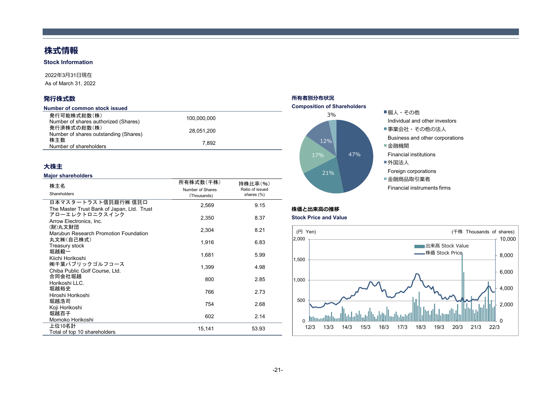# **株式情報**

**Stock Information**

#### 2022年3⽉31⽇現在

As of March 31, 2022

## **発⾏株式数**

| Number of common stock issued                        |             |  |
|------------------------------------------------------|-------------|--|
| 発行可能株式総数(株)<br>Number of shares authorized (Shares)  | 100.000.000 |  |
| 発行済株式の総数(株)<br>Number of shares outstanding (Shares) | 28.051.200  |  |
| 株主数<br>Number of shareholders                        | 7.892       |  |

## **⼤株主**

#### **Major shareholders**

| 株主名<br>Shareholders                                               | 所有株式数(千株)<br>Number of Shares<br>(Thousands) | 持株比率(%)<br>Ratio of issued<br>shares (%) |
|-------------------------------------------------------------------|----------------------------------------------|------------------------------------------|
| 日本マスタートラスト信託銀行㈱ 信託口<br>The Master Trust Bank of Japan, Ltd. Trust | 2,569                                        | 9.15                                     |
| アローエレクトロニクスインク<br>Arrow Electronics, Inc.                         | 2,350                                        | 8.37                                     |
| (財)丸文財団<br>Marubun Research Promotion Foundation                  | 2,304                                        | 8.21                                     |
| 丸文㈱(自己株式)<br>Treasury stock                                       | 1,916                                        | 6.83                                     |
| 堀越毅一<br>Kiichi Horikoshi                                          | 1,681                                        | 5.99                                     |
| ㈱千葉パブリックゴルフコース<br>Chiba Public Golf Course, Ltd.                  | 1,399                                        | 4.98                                     |
| 合同会社堀越<br>Horikoshi LLC.                                          | 800                                          | 2.85                                     |
| 堀越裕史<br>Hiroshi Horikoshi                                         | 766                                          | 2.73                                     |
| 堀越浩司<br>Koji Horikoshi                                            | 754                                          | 2.68                                     |
| 堀越百子<br>Momoko Horikoshi                                          | 602                                          | 2.14                                     |
| 上位10名計<br>Total of top 10 shareholders                            | 15,141                                       | 53.93                                    |

## **所有者別分布状況**



## **株価と出来⾼の推移**

#### **Stock Price and Value**

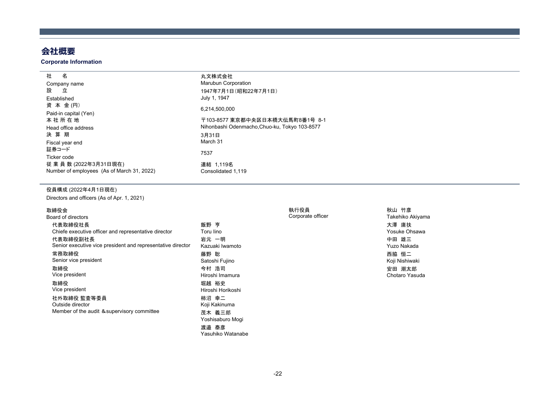# **会社概要**

#### **Corporate Information**

| 籵<br>名                                     | 丸文株式会社                                        |
|--------------------------------------------|-----------------------------------------------|
| Company name                               | <b>Marubun Corporation</b>                    |
| 設<br>立                                     | 1947年7月1日(昭和22年7月1日)                          |
| Established                                | July 1, 1947                                  |
| 資 本 金(円)                                   | 6.214.500.000                                 |
| Paid-in capital (Yen)                      |                                               |
| 本 社 所 在 地                                  | 〒103-8577 東京都中央区日本橋大伝馬町8番1号 8-1               |
| Head office address                        | Nihonbashi Odenmacho, Chuo-ku, Tokyo 103-8577 |
| 決 算 期                                      | 3月31日                                         |
| Fiscal year end                            | March 31                                      |
| 証券コード                                      | 7537                                          |
| Ticker code                                |                                               |
| 従 業 員 数 (2022年3月31日現在)                     | 連結 1.119名                                     |
| Number of employees (As of March 31, 2022) | Consolidated 1.119                            |

#### 役員構成 (2022年4月1日現在)

Directors and officers (As of Apr. 1, 2021)

#### 取締役会

| Board of directors                                          |                   |
|-------------------------------------------------------------|-------------------|
| 代表取締役社長                                                     | 飯野 亨              |
| Chiefe executive officer and representative director        | Toru lino         |
| 代表取締役副社長                                                    | 岩元 一明             |
| Senior executive vice president and representative director | Kazuaki Iwamoto   |
| 常務取締役                                                       | 藤野 聡              |
| Senior vice president                                       | Satoshi Fujino    |
| 取締役                                                         | 今村 浩司             |
| Vice president                                              | Hiroshi Imamura   |
| 取締役                                                         | 堀越 裕史             |
| Vice president                                              | Hiroshi Horikoshi |
| 社外取締役 監査等委員                                                 | 柿沼 幸二             |
| Outside director                                            | Koji Kakinuma     |
| Member of the audit & supervisory committee                 | 茂木 義三郎            |
|                                                             | Yoshisaburo Mogi  |
|                                                             | 渡邉 泰彦             |

Yasuhiko Watanabe

# 執行役員 Corporate officer

Takehiko Akiyama 大澤 庸扶 Yosuke Ohsawa 中田 雄三 Yuzo Nakada 西脇 恒二 Koji Nishiwaki 安田 潮太郎Chotaro Yasuda

秋山 竹彦